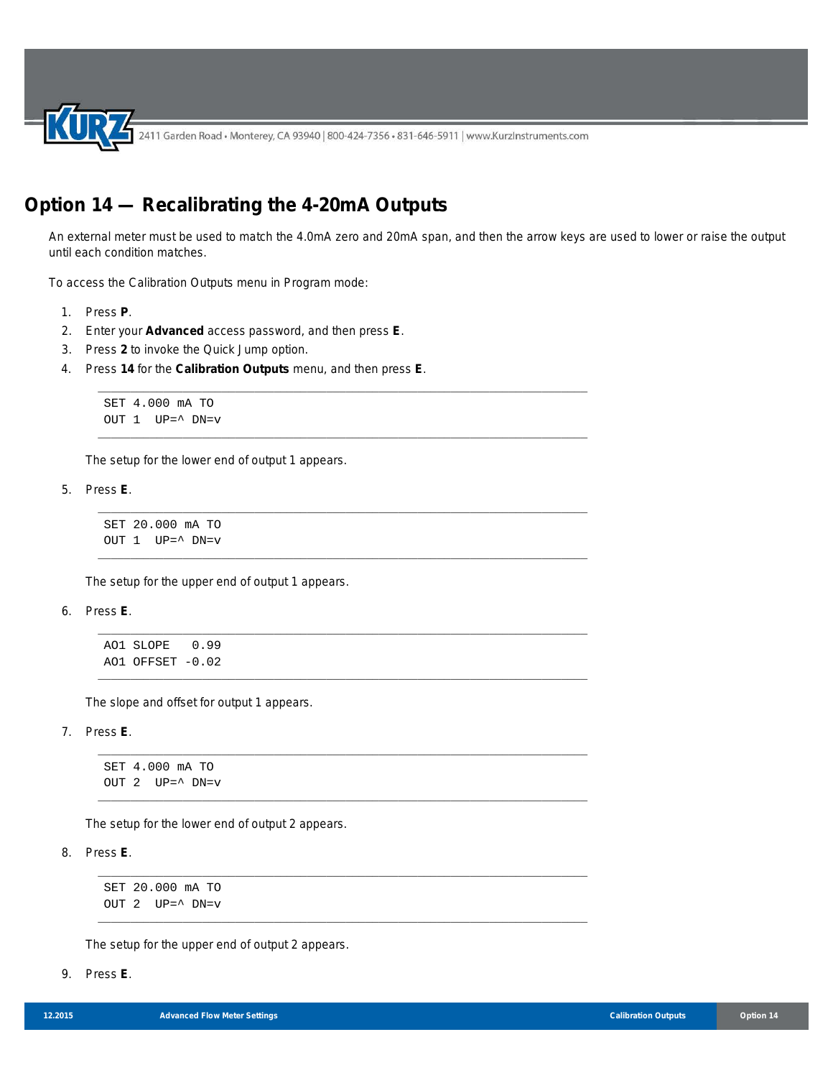2411 Garden Road • Monterey, CA 93940 | 800-424-7356 • 831-646-5911 | www.KurzInstruments.com

\_\_\_\_\_\_\_\_\_\_\_\_\_\_\_\_\_\_\_\_\_\_\_\_\_\_\_\_\_\_\_\_\_\_\_\_\_\_\_\_\_\_\_\_\_\_\_\_\_\_\_\_\_\_\_\_\_\_\_\_\_\_\_\_\_\_\_\_\_\_\_\_\_\_\_

\_\_\_\_\_\_\_\_\_\_\_\_\_\_\_\_\_\_\_\_\_\_\_\_\_\_\_\_\_\_\_\_\_\_\_\_\_\_\_\_\_\_\_\_\_\_\_\_\_\_\_\_\_\_\_\_\_\_\_\_\_\_\_\_\_\_\_\_\_\_\_\_\_\_\_

\_\_\_\_\_\_\_\_\_\_\_\_\_\_\_\_\_\_\_\_\_\_\_\_\_\_\_\_\_\_\_\_\_\_\_\_\_\_\_\_\_\_\_\_\_\_\_\_\_\_\_\_\_\_\_\_\_\_\_\_\_\_\_\_\_\_\_\_\_\_\_\_\_\_\_

\_\_\_\_\_\_\_\_\_\_\_\_\_\_\_\_\_\_\_\_\_\_\_\_\_\_\_\_\_\_\_\_\_\_\_\_\_\_\_\_\_\_\_\_\_\_\_\_\_\_\_\_\_\_\_\_\_\_\_\_\_\_\_\_\_\_\_\_\_\_\_\_\_\_\_

\_\_\_\_\_\_\_\_\_\_\_\_\_\_\_\_\_\_\_\_\_\_\_\_\_\_\_\_\_\_\_\_\_\_\_\_\_\_\_\_\_\_\_\_\_\_\_\_\_\_\_\_\_\_\_\_\_\_\_\_\_\_\_\_\_\_\_\_\_\_\_\_\_\_\_

\_\_\_\_\_\_\_\_\_\_\_\_\_\_\_\_\_\_\_\_\_\_\_\_\_\_\_\_\_\_\_\_\_\_\_\_\_\_\_\_\_\_\_\_\_\_\_\_\_\_\_\_\_\_\_\_\_\_\_\_\_\_\_\_\_\_\_\_\_\_\_\_\_\_\_

\_\_\_\_\_\_\_\_\_\_\_\_\_\_\_\_\_\_\_\_\_\_\_\_\_\_\_\_\_\_\_\_\_\_\_\_\_\_\_\_\_\_\_\_\_\_\_\_\_\_\_\_\_\_\_\_\_\_\_\_\_\_\_\_\_\_\_\_\_\_\_\_\_\_\_

\_\_\_\_\_\_\_\_\_\_\_\_\_\_\_\_\_\_\_\_\_\_\_\_\_\_\_\_\_\_\_\_\_\_\_\_\_\_\_\_\_\_\_\_\_\_\_\_\_\_\_\_\_\_\_\_\_\_\_\_\_\_\_\_\_\_\_\_\_\_\_\_\_\_\_

\_\_\_\_\_\_\_\_\_\_\_\_\_\_\_\_\_\_\_\_\_\_\_\_\_\_\_\_\_\_\_\_\_\_\_\_\_\_\_\_\_\_\_\_\_\_\_\_\_\_\_\_\_\_\_\_\_\_\_\_\_\_\_\_\_\_\_\_\_\_\_\_\_\_\_

\_\_\_\_\_\_\_\_\_\_\_\_\_\_\_\_\_\_\_\_\_\_\_\_\_\_\_\_\_\_\_\_\_\_\_\_\_\_\_\_\_\_\_\_\_\_\_\_\_\_\_\_\_\_\_\_\_\_\_\_\_\_\_\_\_\_\_\_\_\_\_\_\_\_\_

## **Option 14 — Recalibrating the 4-20mA Outputs**

An external meter must be used to match the 4.0mA zero and 20mA span, and then the arrow keys are used to lower or raise the output until each condition matches.

To access the Calibration Outputs menu in Program mode:

- 1. Press **P**.
- 2. Enter your **Advanced** access password, and then press **E**.
- 3. Press **2** to invoke the Quick Jump option.
- 4. Press **14** for the **Calibration Outputs** menu, and then press **E**.

```
SET 4.000 mA TO
OUT 1 UP=^ DN=v
```
The setup for the lower end of output 1 appears.

5. Press **E**.

```
SET 20.000 mA TO
OUT 1 UP=^ DN=v
```
The setup for the upper end of output 1 appears.

6. Press **E**.

```
AO1 SLOPE 0.99
AO1 OFFSET -0.02
```
The slope and offset for output 1 appears.

7. Press **E**.

```
SET 4.000 mA TO
OUT 2 UP=^ DN=v
```
The setup for the lower end of output 2 appears.

8. Press **E**.

SET 20.000 mA TO OUT 2 UP=^ DN=v

The setup for the upper end of output 2 appears.

9. Press **E**.